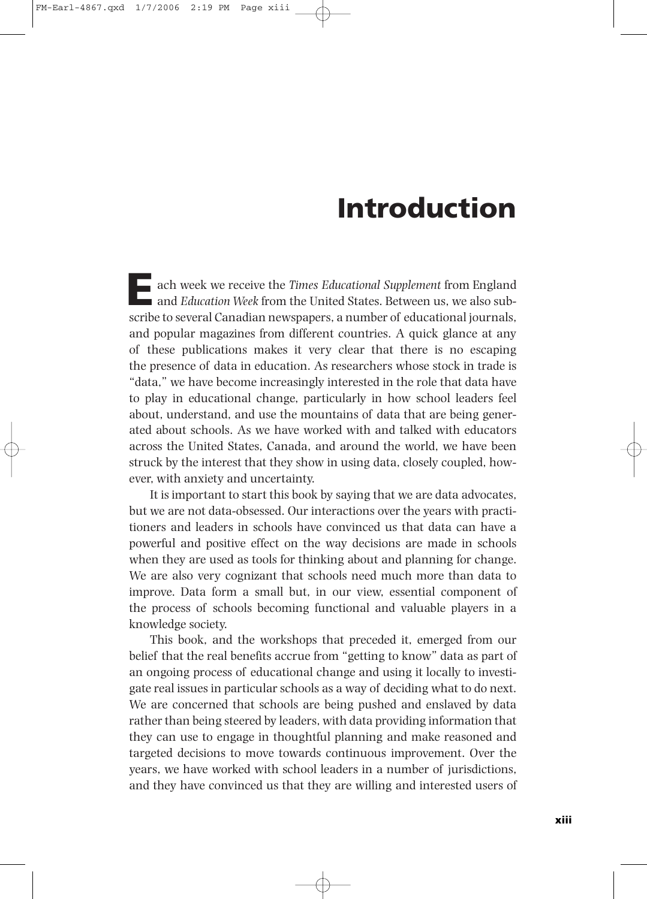# **Introduction**

**E**ach week we receive the *Times Educational Supplement* from England and *Education Week* from the United States. Between us, we also subscribe to several Canadian newspapers, a number of educational journals, and popular magazines from different countries. A quick glance at any of these publications makes it very clear that there is no escaping the presence of data in education. As researchers whose stock in trade is "data," we have become increasingly interested in the role that data have to play in educational change, particularly in how school leaders feel about, understand, and use the mountains of data that are being generated about schools. As we have worked with and talked with educators across the United States, Canada, and around the world, we have been struck by the interest that they show in using data, closely coupled, however, with anxiety and uncertainty.

It is important to start this book by saying that we are data advocates, but we are not data-obsessed. Our interactions over the years with practitioners and leaders in schools have convinced us that data can have a powerful and positive effect on the way decisions are made in schools when they are used as tools for thinking about and planning for change. We are also very cognizant that schools need much more than data to improve. Data form a small but, in our view, essential component of the process of schools becoming functional and valuable players in a knowledge society.

This book, and the workshops that preceded it, emerged from our belief that the real benefits accrue from "getting to know" data as part of an ongoing process of educational change and using it locally to investigate real issues in particular schools as a way of deciding what to do next. We are concerned that schools are being pushed and enslaved by data rather than being steered by leaders, with data providing information that they can use to engage in thoughtful planning and make reasoned and targeted decisions to move towards continuous improvement. Over the years, we have worked with school leaders in a number of jurisdictions, and they have convinced us that they are willing and interested users of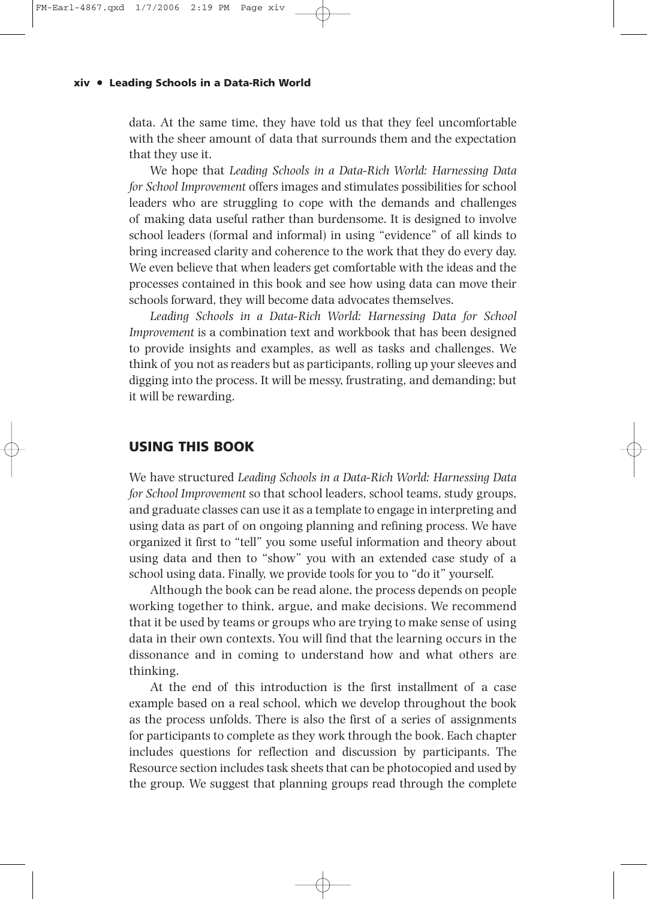#### **xiv • Leading Schools in a Data-Rich World**

data. At the same time, they have told us that they feel uncomfortable with the sheer amount of data that surrounds them and the expectation that they use it.

We hope that *Leading Schools in a Data-Rich World: Harnessing Data for School Improvement* offers images and stimulates possibilities for school leaders who are struggling to cope with the demands and challenges of making data useful rather than burdensome. It is designed to involve school leaders (formal and informal) in using "evidence" of all kinds to bring increased clarity and coherence to the work that they do every day. We even believe that when leaders get comfortable with the ideas and the processes contained in this book and see how using data can move their schools forward, they will become data advocates themselves.

*Leading Schools in a Data-Rich World: Harnessing Data for School Improvement* is a combination text and workbook that has been designed to provide insights and examples, as well as tasks and challenges. We think of you not as readers but as participants, rolling up your sleeves and digging into the process. It will be messy, frustrating, and demanding; but it will be rewarding.

## **USING THIS BOOK**

We have structured *Leading Schools in a Data-Rich World: Harnessing Data for School Improvement* so that school leaders, school teams, study groups, and graduate classes can use it as a template to engage in interpreting and using data as part of on ongoing planning and refining process. We have organized it first to "tell" you some useful information and theory about using data and then to "show" you with an extended case study of a school using data. Finally, we provide tools for you to "do it" yourself.

Although the book can be read alone, the process depends on people working together to think, argue, and make decisions. We recommend that it be used by teams or groups who are trying to make sense of using data in their own contexts. You will find that the learning occurs in the dissonance and in coming to understand how and what others are thinking.

At the end of this introduction is the first installment of a case example based on a real school, which we develop throughout the book as the process unfolds. There is also the first of a series of assignments for participants to complete as they work through the book. Each chapter includes questions for reflection and discussion by participants. The Resource section includes task sheets that can be photocopied and used by the group. We suggest that planning groups read through the complete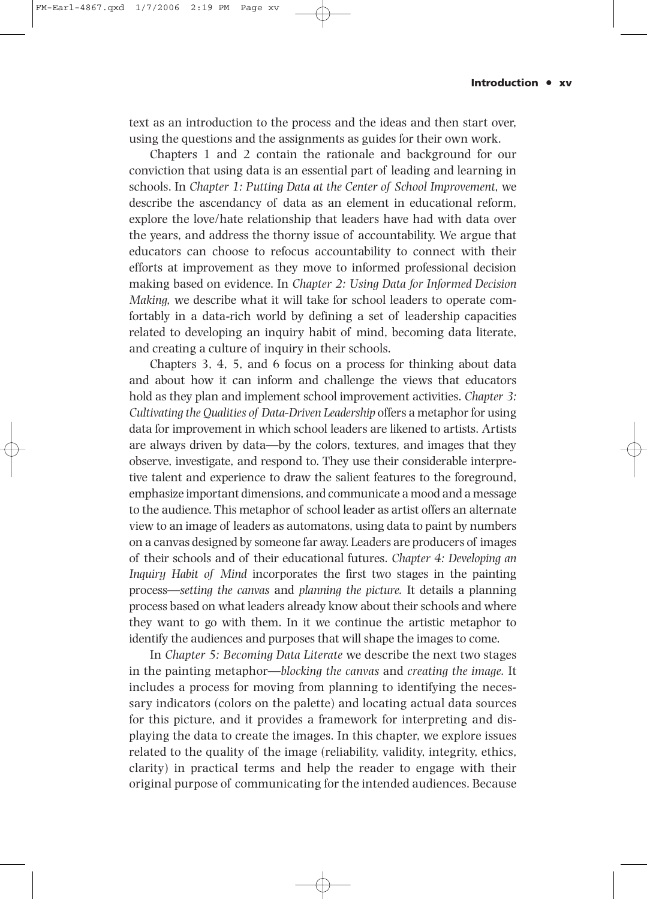### **Introduction • xv**

text as an introduction to the process and the ideas and then start over, using the questions and the assignments as guides for their own work.

Chapters 1 and 2 contain the rationale and background for our conviction that using data is an essential part of leading and learning in schools. In *Chapter 1: Putting Data at the Center of School Improvement,* we describe the ascendancy of data as an element in educational reform, explore the love/hate relationship that leaders have had with data over the years, and address the thorny issue of accountability. We argue that educators can choose to refocus accountability to connect with their efforts at improvement as they move to informed professional decision making based on evidence. In *Chapter 2: Using Data for Informed Decision Making,* we describe what it will take for school leaders to operate comfortably in a data-rich world by defining a set of leadership capacities related to developing an inquiry habit of mind, becoming data literate, and creating a culture of inquiry in their schools.

Chapters 3, 4, 5, and 6 focus on a process for thinking about data and about how it can inform and challenge the views that educators hold as they plan and implement school improvement activities. *Chapter 3: Cultivating the Qualities of Data-Driven Leadership* offers a metaphor for using data for improvement in which school leaders are likened to artists. Artists are always driven by data—by the colors, textures, and images that they observe, investigate, and respond to. They use their considerable interpretive talent and experience to draw the salient features to the foreground, emphasize important dimensions, and communicate a mood and a message to the audience. This metaphor of school leader as artist offers an alternate view to an image of leaders as automatons, using data to paint by numbers on a canvas designed by someone far away. Leaders are producers of images of their schools and of their educational futures. *Chapter 4: Developing an Inquiry Habit of Mind* incorporates the first two stages in the painting process—*setting the canvas* and *planning the picture.* It details a planning process based on what leaders already know about their schools and where they want to go with them. In it we continue the artistic metaphor to identify the audiences and purposes that will shape the images to come.

In *Chapter 5: Becoming Data Literate* we describe the next two stages in the painting metaphor—*blocking the canvas* and *creating the image.* It includes a process for moving from planning to identifying the necessary indicators (colors on the palette) and locating actual data sources for this picture, and it provides a framework for interpreting and displaying the data to create the images. In this chapter, we explore issues related to the quality of the image (reliability, validity, integrity, ethics, clarity) in practical terms and help the reader to engage with their original purpose of communicating for the intended audiences. Because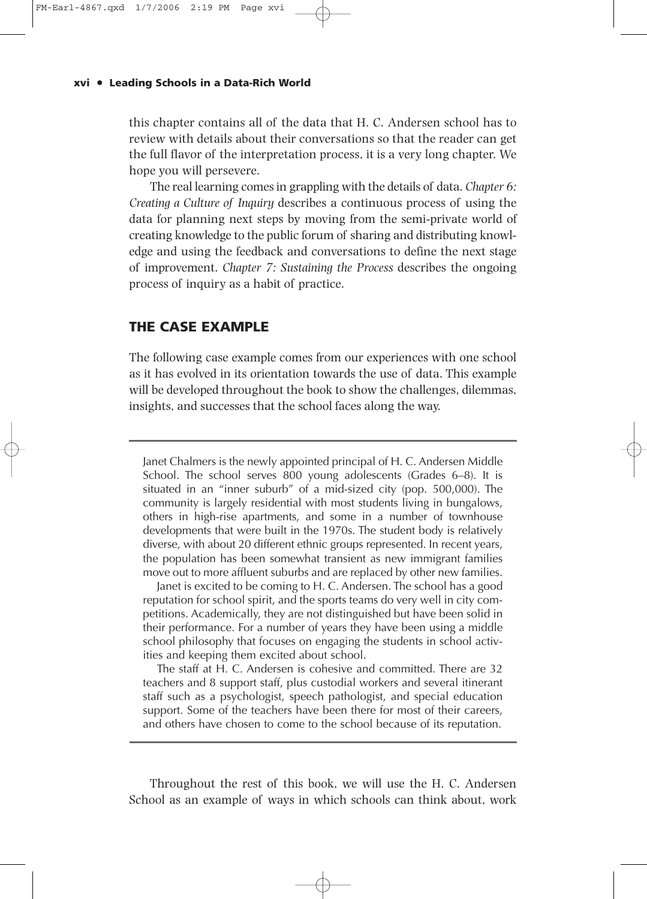#### **xvi • Leading Schools in a Data-Rich World**

this chapter contains all of the data that H. C. Andersen school has to review with details about their conversations so that the reader can get the full flavor of the interpretation process, it is a very long chapter. We hope you will persevere.

The real learning comes in grappling with the details of data. *Chapter 6: Creating a Culture of Inquiry* describes a continuous process of using the data for planning next steps by moving from the semi-private world of creating knowledge to the public forum of sharing and distributing knowledge and using the feedback and conversations to define the next stage of improvement. *Chapter 7: Sustaining the Process* describes the ongoing process of inquiry as a habit of practice.

# **THE CASE EXAMPLE**

The following case example comes from our experiences with one school as it has evolved in its orientation towards the use of data. This example will be developed throughout the book to show the challenges, dilemmas, insights, and successes that the school faces along the way.

Janet Chalmers is the newly appointed principal of H. C. Andersen Middle School. The school serves 800 young adolescents (Grades 6–8). It is situated in an "inner suburb" of a mid-sized city (pop. 500,000). The community is largely residential with most students living in bungalows, others in high-rise apartments, and some in a number of townhouse developments that were built in the 1970s. The student body is relatively diverse, with about 20 different ethnic groups represented. In recent years, the population has been somewhat transient as new immigrant families move out to more affluent suburbs and are replaced by other new families.

Janet is excited to be coming to H. C. Andersen. The school has a good reputation for school spirit, and the sports teams do very well in city competitions. Academically, they are not distinguished but have been solid in their performance. For a number of years they have been using a middle school philosophy that focuses on engaging the students in school activities and keeping them excited about school.

The staff at H. C. Andersen is cohesive and committed. There are 32 teachers and 8 support staff, plus custodial workers and several itinerant staff such as a psychologist, speech pathologist, and special education support. Some of the teachers have been there for most of their careers, and others have chosen to come to the school because of its reputation.

Throughout the rest of this book, we will use the H. C. Andersen School as an example of ways in which schools can think about, work